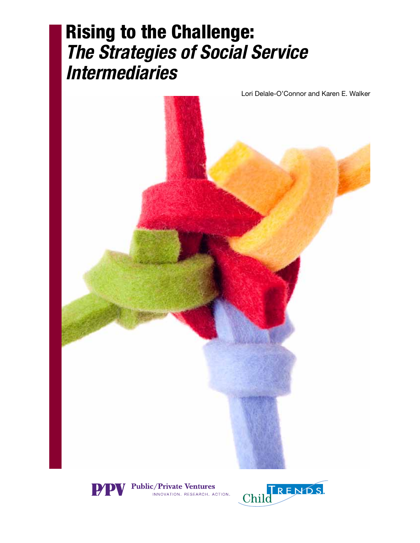# Rising to the Challenge: *The Strategies of Social Service Intermediaries*





**Public/Private Ventures** .<br>INNOVATION, RESEARCH, ACTION.

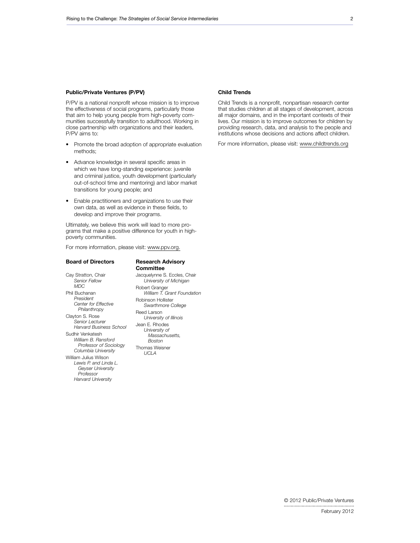#### Public/Private Ventures (P/PV)

P/PV is a national nonprofit whose mission is to improve the effectiveness of social programs, particularly those that aim to help young people from high-poverty communities successfully transition to adulthood. Working in close partnership with organizations and their leaders, P/PV aims to:

- Promote the broad adoption of appropriate evaluation methods;
- • Advance knowledge in several specific areas in which we have long-standing experience: juvenile and criminal justice, youth development (particularly out-of-school time and mentoring) and labor market transitions for young people; and
- • Enable practitioners and organizations to use their own data, as well as evidence in these fields, to develop and improve their programs.

Ultimately, we believe this work will lead to more programs that make a positive difference for youth in highpoverty communities.

For more information, please visit: [www.ppv.org.](http://www.ppv.org)

#### Board of Directors

*Professor Harvard University*

Cay Stratton, Chair *Senior Fellow MDC* Phil Buchanan *President Center for Effective Philanthropy* Clayton S. Rose *Senior Lecturer Harvard Business School* Sudhir Venkatesh *William B. Ransford Professor of Sociology Columbia University* William Julius Wilson *Lewis P. and Linda L. Geyser University* 

#### Research Advisory **Committee**

Jacquelynne S. Eccles, Chair *University of Michigan* Robert Granger *William T. Grant Foundation* Robinson Hollister *Swarthmore College* Reed Larson *University of Illinois* Jean E. Rhodes *University of Massachusetts, Boston* Thomas Weisner *UCLA*

#### Child Trends

Child Trends is a nonprofit, nonpartisan research center that studies children at all stages of development, across all major domains, and in the important contexts of their lives. Our mission is to improve outcomes for children by providing research, data, and analysis to the people and institutions whose decisions and actions affect children.

For more information, please visit: [www.childtrends.org](http://www.childtrends.org)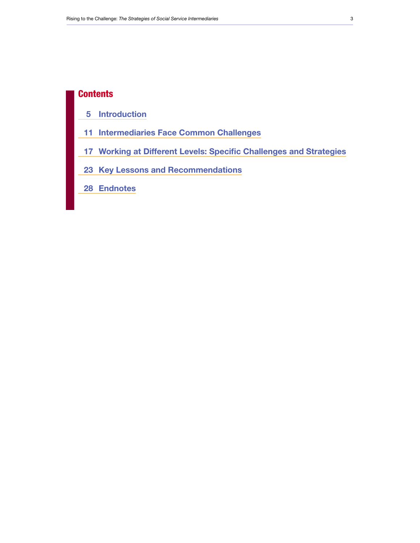### **Contents**

- [Introduction](#page-4-0)
- [Intermediaries Face Common Challenges](#page-10-0)
- [Working at Different Levels: Specific Challenges and Strategies](#page-16-0)
- [Key Lessons and Recommendations](#page-22-0)
- [Endnotes](#page-27-0)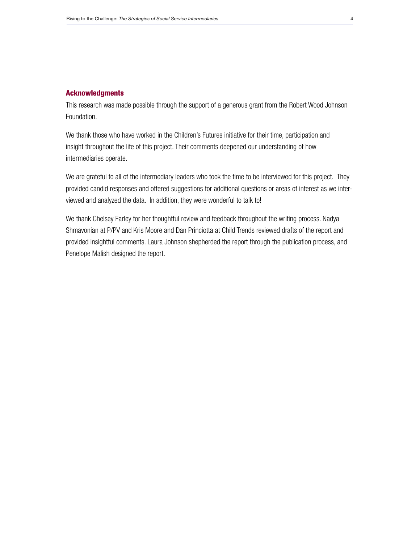#### Acknowledgments

This research was made possible through the support of a generous grant from the Robert Wood Johnson Foundation.

We thank those who have worked in the Children's Futures initiative for their time, participation and insight throughout the life of this project. Their comments deepened our understanding of how intermediaries operate.

We are grateful to all of the intermediary leaders who took the time to be interviewed for this project. They provided candid responses and offered suggestions for additional questions or areas of interest as we interviewed and analyzed the data. In addition, they were wonderful to talk to!

We thank Chelsey Farley for her thoughtful review and feedback throughout the writing process. Nadya Shmavonian at P/PV and Kris Moore and Dan Princiotta at Child Trends reviewed drafts of the report and provided insightful comments. Laura Johnson shepherded the report through the publication process, and Penelope Malish designed the report.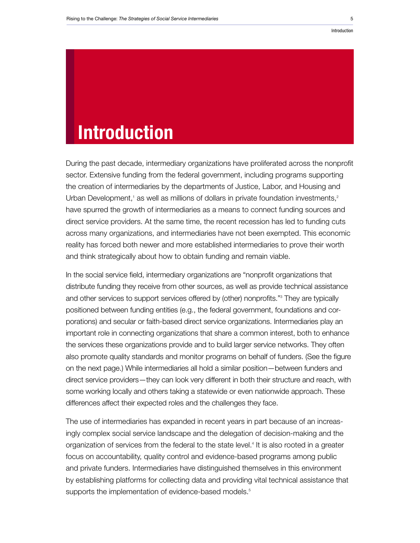#### <span id="page-4-0"></span>Introduction

# Introduction

During the past decade, intermediary organizations have proliferated across the nonprofit sector. Extensive funding from the federal government, including programs supporting the creation of intermediaries by the departments of Justice, Labor, and Housing and Urban Development,<sup>1</sup> as well as millions of dollars in private foundation investments,<sup>2</sup> have spurred the growth of intermediaries as a means to connect funding sources and direct service providers. At the same time, the recent recession has led to funding cuts across many organizations, and intermediaries have not been exempted. This economic reality has forced both newer and more established intermediaries to prove their worth and think strategically about how to obtain funding and remain viable.

In the social service field, intermediary organizations are "nonprofit organizations that distribute funding they receive from other sources, as well as provide technical assistance and other services to support services offered by (other) nonprofits."3 They are typically positioned between funding entities (e.g., the federal government, foundations and corporations) and secular or faith-based direct service organizations. Intermediaries play an important role in connecting organizations that share a common interest, both to enhance the services these organizations provide and to build larger service networks. They often also promote quality standards and monitor programs on behalf of funders. (See the figure on the next page.) While intermediaries all hold a similar position—between funders and direct service providers—they can look very different in both their structure and reach, with some working locally and others taking a statewide or even nationwide approach. These differences affect their expected roles and the challenges they face.

The use of intermediaries has expanded in recent years in part because of an increasingly complex social service landscape and the delegation of decision-making and the organization of services from the federal to the state level.<sup>4</sup> It is also rooted in a greater focus on accountability, quality control and evidence-based programs among public and private funders. Intermediaries have distinguished themselves in this environment by establishing platforms for collecting data and providing vital technical assistance that supports the implementation of evidence-based models.<sup>5</sup>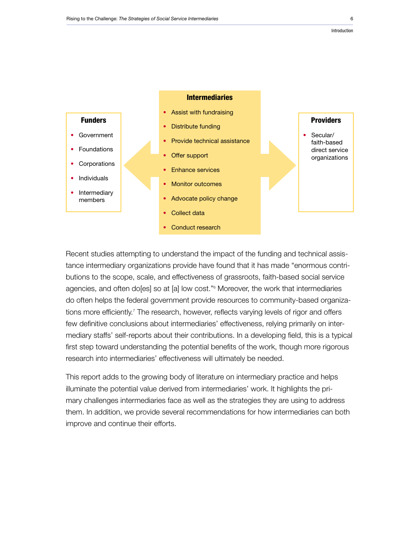

Recent studies attempting to understand the impact of the funding and technical assistance intermediary organizations provide have found that it has made "enormous contributions to the scope, scale, and effectiveness of grassroots, faith-based social service agencies, and often do[es] so at [a] low cost."6 Moreover, the work that intermediaries do often helps the federal government provide resources to community-based organizations more efficiently.<sup>7</sup> The research, however, reflects varying levels of rigor and offers few definitive conclusions about intermediaries' effectiveness, relying primarily on intermediary staffs' self-reports about their contributions. In a developing field, this is a typical first step toward understanding the potential benefits of the work, though more rigorous research into intermediaries' effectiveness will ultimately be needed.

This report adds to the growing body of literature on intermediary practice and helps illuminate the potential value derived from intermediaries' work. It highlights the primary challenges intermediaries face as well as the strategies they are using to address them. In addition, we provide several recommendations for how intermediaries can both improve and continue their efforts.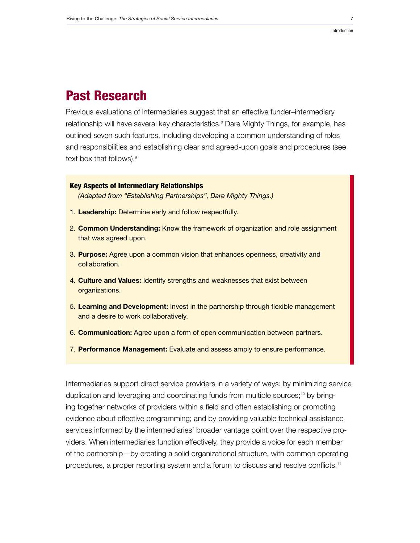#### Introduction

## Past Research

Previous evaluations of intermediaries suggest that an effective funder–intermediary relationship will have several key characteristics.<sup>8</sup> Dare Mighty Things, for example, has outlined seven such features, including developing a common understanding of roles and responsibilities and establishing clear and agreed-upon goals and procedures (see text box that follows).<sup>9</sup>

#### Key Aspects of Intermediary Relationships

*(Adapted from "Establishing Partnerships", Dare Mighty Things.)*

- 1. Leadership: Determine early and follow respectfully.
- 2. Common Understanding: Know the framework of organization and role assignment that was agreed upon.
- 3. Purpose: Agree upon a common vision that enhances openness, creativity and collaboration.
- 4. Culture and Values: Identify strengths and weaknesses that exist between organizations.
- 5. Learning and Development: Invest in the partnership through flexible management and a desire to work collaboratively.
- 6. Communication: Agree upon a form of open communication between partners.
- 7. Performance Management: Evaluate and assess amply to ensure performance.

Intermediaries support direct service providers in a variety of ways: by minimizing service duplication and leveraging and coordinating funds from multiple sources;<sup>10</sup> by bringing together networks of providers within a field and often establishing or promoting evidence about effective programming; and by providing valuable technical assistance services informed by the intermediaries' broader vantage point over the respective providers. When intermediaries function effectively, they provide a voice for each member of the partnership—by creating a solid organizational structure, with common operating procedures, a proper reporting system and a forum to discuss and resolve conflicts.<sup>11</sup>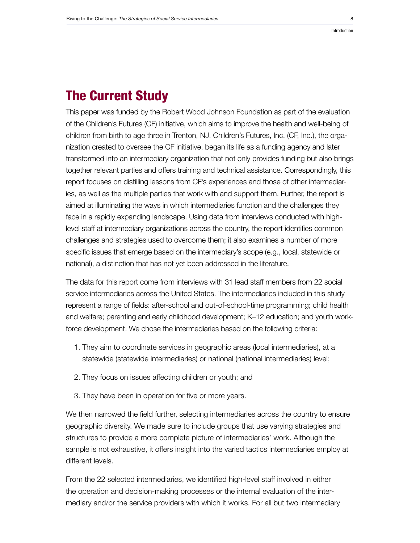#### Introduction

## The Current Study

This paper was funded by the Robert Wood Johnson Foundation as part of the evaluation of the Children's Futures (CF) initiative, which aims to improve the health and well-being of children from birth to age three in Trenton, NJ. Children's Futures, Inc. (CF, Inc.), the organization created to oversee the CF initiative, began its life as a funding agency and later transformed into an intermediary organization that not only provides funding but also brings together relevant parties and offers training and technical assistance. Correspondingly, this report focuses on distilling lessons from CF's experiences and those of other intermediaries, as well as the multiple parties that work with and support them. Further, the report is aimed at illuminating the ways in which intermediaries function and the challenges they face in a rapidly expanding landscape. Using data from interviews conducted with highlevel staff at intermediary organizations across the country, the report identifies common challenges and strategies used to overcome them; it also examines a number of more specific issues that emerge based on the intermediary's scope (e.g., local, statewide or national), a distinction that has not yet been addressed in the literature.

The data for this report come from interviews with 31 lead staff members from 22 social service intermediaries across the United States. The intermediaries included in this study represent a range of fields: after-school and out-of-school-time programming; child health and welfare; parenting and early childhood development; K–12 education; and youth workforce development. We chose the intermediaries based on the following criteria:

- 1. They aim to coordinate services in geographic areas (local intermediaries), at a statewide (statewide intermediaries) or national (national intermediaries) level;
- 2. They focus on issues affecting children or youth; and
- 3. They have been in operation for five or more years.

We then narrowed the field further, selecting intermediaries across the country to ensure geographic diversity. We made sure to include groups that use varying strategies and structures to provide a more complete picture of intermediaries' work. Although the sample is not exhaustive, it offers insight into the varied tactics intermediaries employ at different levels.

From the 22 selected intermediaries, we identified high-level staff involved in either the operation and decision-making processes or the internal evaluation of the intermediary and/or the service providers with which it works. For all but two intermediary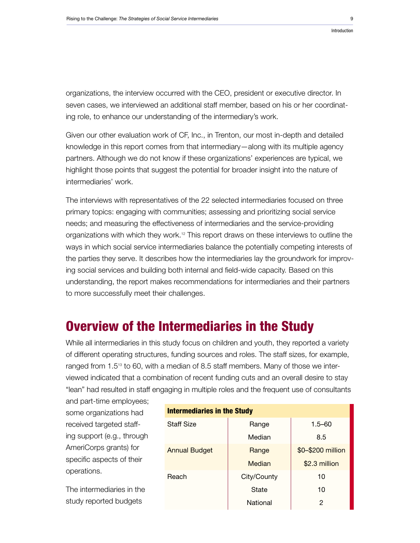organizations, the interview occurred with the CEO, president or executive director. In seven cases, we interviewed an additional staff member, based on his or her coordinating role, to enhance our understanding of the intermediary's work.

Given our other evaluation work of CF, Inc., in Trenton, our most in-depth and detailed knowledge in this report comes from that intermediary—along with its multiple agency partners. Although we do not know if these organizations' experiences are typical, we highlight those points that suggest the potential for broader insight into the nature of intermediaries' work.

The interviews with representatives of the 22 selected intermediaries focused on three primary topics: engaging with communities; assessing and prioritizing social service needs; and measuring the effectiveness of intermediaries and the service-providing organizations with which they work.<sup>12</sup> This report draws on these interviews to outline the ways in which social service intermediaries balance the potentially competing interests of the parties they serve. It describes how the intermediaries lay the groundwork for improving social services and building both internal and field-wide capacity. Based on this understanding, the report makes recommendations for intermediaries and their partners to more successfully meet their challenges.

## Overview of the Intermediaries in the Study

While all intermediaries in this study focus on children and youth, they reported a variety of different operating structures, funding sources and roles. The staff sizes, for example, ranged from 1.5<sup>13</sup> to 60, with a median of 8.5 staff members. Many of those we interviewed indicated that a combination of recent funding cuts and an overall desire to stay "lean" had resulted in staff engaging in multiple roles and the frequent use of consultants

and part-time employees; some organizations had received targeted staffing support (e.g., through AmeriCorps grants) for specific aspects of their operations.

The intermediaries in the study reported budgets

| <b>Intermediaries in the Study</b> |             |                   |
|------------------------------------|-------------|-------------------|
| <b>Staff Size</b>                  | Range       | $1.5 - 60$        |
|                                    | Median      | 8.5               |
| <b>Annual Budget</b>               | Range       | \$0-\$200 million |
|                                    | Median      | \$2.3 million     |
| Reach                              | City/County | 10                |
|                                    | State       | 10                |
|                                    | National    | 2                 |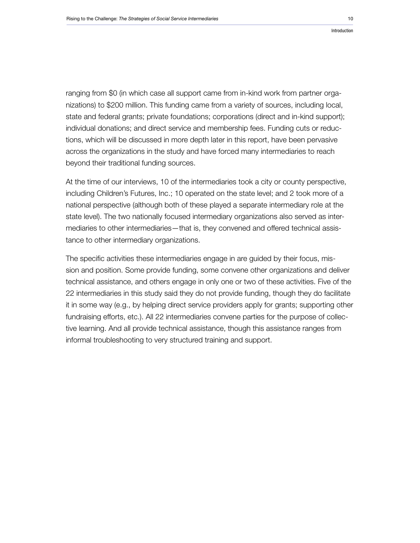ranging from \$0 (in which case all support came from in-kind work from partner organizations) to \$200 million. This funding came from a variety of sources, including local, state and federal grants; private foundations; corporations (direct and in-kind support); individual donations; and direct service and membership fees. Funding cuts or reductions, which will be discussed in more depth later in this report, have been pervasive across the organizations in the study and have forced many intermediaries to reach beyond their traditional funding sources.

At the time of our interviews, 10 of the intermediaries took a city or county perspective, including Children's Futures, Inc.; 10 operated on the state level; and 2 took more of a national perspective (although both of these played a separate intermediary role at the state level). The two nationally focused intermediary organizations also served as intermediaries to other intermediaries—that is, they convened and offered technical assistance to other intermediary organizations.

The specific activities these intermediaries engage in are guided by their focus, mission and position. Some provide funding, some convene other organizations and deliver technical assistance, and others engage in only one or two of these activities. Five of the 22 intermediaries in this study said they do not provide funding, though they do facilitate it in some way (e.g., by helping direct service providers apply for grants; supporting other fundraising efforts, etc.). All 22 intermediaries convene parties for the purpose of collective learning. And all provide technical assistance, though this assistance ranges from informal troubleshooting to very structured training and support.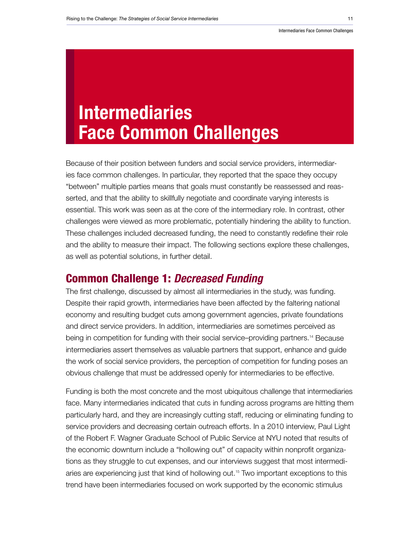# <span id="page-10-0"></span>Intermediaries Face Common Challenges

Because of their position between funders and social service providers, intermediaries face common challenges. In particular, they reported that the space they occupy "between" multiple parties means that goals must constantly be reassessed and reasserted, and that the ability to skillfully negotiate and coordinate varying interests is essential. This work was seen as at the core of the intermediary role. In contrast, other challenges were viewed as more problematic, potentially hindering the ability to function. These challenges included decreased funding, the need to constantly redefine their role and the ability to measure their impact. The following sections explore these challenges, as well as potential solutions, in further detail.

## Common Challenge 1: *Decreased Funding*

The first challenge, discussed by almost all intermediaries in the study, was funding. Despite their rapid growth, intermediaries have been affected by the faltering national economy and resulting budget cuts among government agencies, private foundations and direct service providers. In addition, intermediaries are sometimes perceived as being in competition for funding with their social service–providing partners.<sup>14</sup> Because intermediaries assert themselves as valuable partners that support, enhance and guide the work of social service providers, the perception of competition for funding poses an obvious challenge that must be addressed openly for intermediaries to be effective.

Funding is both the most concrete and the most ubiquitous challenge that intermediaries face. Many intermediaries indicated that cuts in funding across programs are hitting them particularly hard, and they are increasingly cutting staff, reducing or eliminating funding to service providers and decreasing certain outreach efforts. In a 2010 interview, Paul Light of the Robert F. Wagner Graduate School of Public Service at NYU noted that results of the economic downturn include a "hollowing out" of capacity within nonprofit organizations as they struggle to cut expenses, and our interviews suggest that most intermediaries are experiencing just that kind of hollowing out.15 Two important exceptions to this trend have been intermediaries focused on work supported by the economic stimulus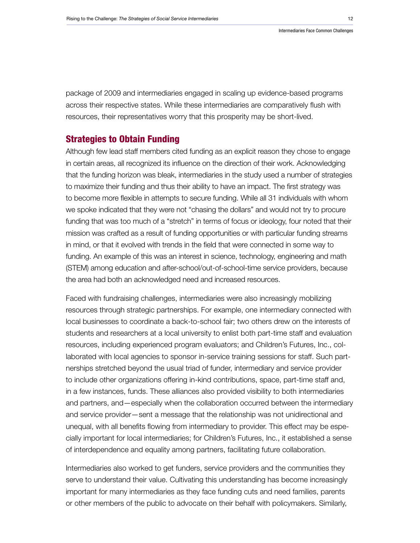package of 2009 and intermediaries engaged in scaling up evidence-based programs across their respective states. While these intermediaries are comparatively flush with resources, their representatives worry that this prosperity may be short-lived.

#### Strategies to Obtain Funding

Although few lead staff members cited funding as an explicit reason they chose to engage in certain areas, all recognized its influence on the direction of their work. Acknowledging that the funding horizon was bleak, intermediaries in the study used a number of strategies to maximize their funding and thus their ability to have an impact. The first strategy was to become more flexible in attempts to secure funding. While all 31 individuals with whom we spoke indicated that they were not "chasing the dollars" and would not try to procure funding that was too much of a "stretch" in terms of focus or ideology, four noted that their mission was crafted as a result of funding opportunities or with particular funding streams in mind, or that it evolved with trends in the field that were connected in some way to funding. An example of this was an interest in science, technology, engineering and math (STEM) among education and after-school/out-of-school-time service providers, because the area had both an acknowledged need and increased resources.

Faced with fundraising challenges, intermediaries were also increasingly mobilizing resources through strategic partnerships. For example, one intermediary connected with local businesses to coordinate a back-to-school fair; two others drew on the interests of students and researchers at a local university to enlist both part-time staff and evaluation resources, including experienced program evaluators; and Children's Futures, Inc., collaborated with local agencies to sponsor in-service training sessions for staff. Such partnerships stretched beyond the usual triad of funder, intermediary and service provider to include other organizations offering in-kind contributions, space, part-time staff and, in a few instances, funds. These alliances also provided visibility to both intermediaries and partners, and—especially when the collaboration occurred between the intermediary and service provider—sent a message that the relationship was not unidirectional and unequal, with all benefits flowing from intermediary to provider. This effect may be especially important for local intermediaries; for Children's Futures, Inc., it established a sense of interdependence and equality among partners, facilitating future collaboration.

Intermediaries also worked to get funders, service providers and the communities they serve to understand their value. Cultivating this understanding has become increasingly important for many intermediaries as they face funding cuts and need families, parents or other members of the public to advocate on their behalf with policymakers. Similarly,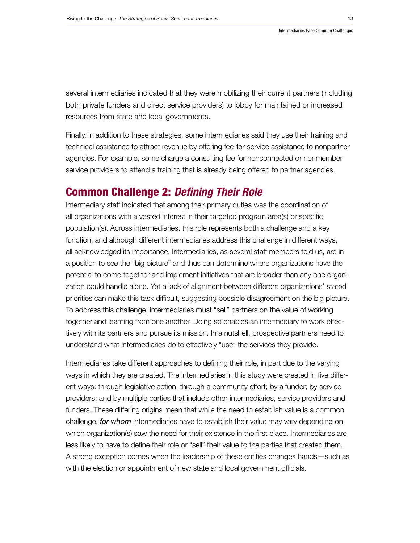several intermediaries indicated that they were mobilizing their current partners (including both private funders and direct service providers) to lobby for maintained or increased resources from state and local governments.

Finally, in addition to these strategies, some intermediaries said they use their training and technical assistance to attract revenue by offering fee-for-service assistance to nonpartner agencies. For example, some charge a consulting fee for nonconnected or nonmember service providers to attend a training that is already being offered to partner agencies.

## Common Challenge 2: *Defining Their Role*

Intermediary staff indicated that among their primary duties was the coordination of all organizations with a vested interest in their targeted program area(s) or specific population(s). Across intermediaries, this role represents both a challenge and a key function, and although different intermediaries address this challenge in different ways, all acknowledged its importance. Intermediaries, as several staff members told us, are in a position to see the "big picture" and thus can determine where organizations have the potential to come together and implement initiatives that are broader than any one organization could handle alone. Yet a lack of alignment between different organizations' stated priorities can make this task difficult, suggesting possible disagreement on the big picture. To address this challenge, intermediaries must "sell" partners on the value of working together and learning from one another. Doing so enables an intermediary to work effectively with its partners and pursue its mission. In a nutshell, prospective partners need to understand what intermediaries do to effectively "use" the services they provide.

Intermediaries take different approaches to defining their role, in part due to the varying ways in which they are created. The intermediaries in this study were created in five different ways: through legislative action; through a community effort; by a funder; by service providers; and by multiple parties that include other intermediaries, service providers and funders. These differing origins mean that while the need to establish value is a common challenge, *for whom* intermediaries have to establish their value may vary depending on which organization(s) saw the need for their existence in the first place. Intermediaries are less likely to have to define their role or "sell" their value to the parties that created them. A strong exception comes when the leadership of these entities changes hands—such as with the election or appointment of new state and local government officials.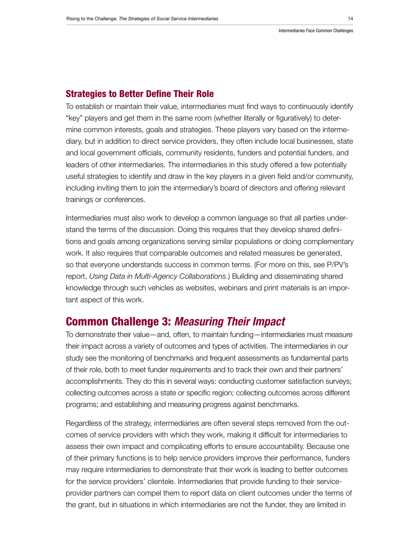#### Strategies to Better Define Their Role

To establish or maintain their value, intermediaries must find ways to continuously identify "key" players and get them in the same room (whether literally or figuratively) to determine common interests, goals and strategies. These players vary based on the intermediary, but in addition to direct service providers, they often include local businesses, state and local government officials, community residents, funders and potential funders, and leaders of other intermediaries. The intermediaries in this study offered a few potentially useful strategies to identify and draw in the key players in a given field and/or community, including inviting them to join the intermediary's board of directors and offering relevant trainings or conferences.

Intermediaries must also work to develop a common language so that all parties understand the terms of the discussion. Doing this requires that they develop shared definitions and goals among organizations serving similar populations or doing complementary work. It also requires that comparable outcomes and related measures be generated, so that everyone understands success in common terms. (For more on this, see P/PV's report, *Using Data in Multi-Agency Collaborations*.) Building and disseminating shared knowledge through such vehicles as websites, webinars and print materials is an important aspect of this work.

### Common Challenge 3: *Measuring Their Impact*

To demonstrate their value—and, often, to maintain funding—intermediaries must measure their impact across a variety of outcomes and types of activities. The intermediaries in our study see the monitoring of benchmarks and frequent assessments as fundamental parts of their role, both to meet funder requirements and to track their own and their partners' accomplishments. They do this in several ways: conducting customer satisfaction surveys; collecting outcomes across a state or specific region; collecting outcomes across different programs; and establishing and measuring progress against benchmarks.

Regardless of the strategy, intermediaries are often several steps removed from the outcomes of service providers with which they work, making it difficult for intermediaries to assess their own impact and complicating efforts to ensure accountability. Because one of their primary functions is to help service providers improve their performance, funders may require intermediaries to demonstrate that their work is leading to better outcomes for the service providers' clientele. Intermediaries that provide funding to their serviceprovider partners can compel them to report data on client outcomes under the terms of the grant, but in situations in which intermediaries are not the funder, they are limited in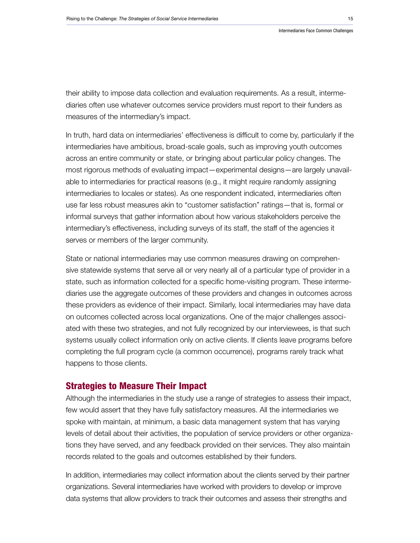their ability to impose data collection and evaluation requirements. As a result, intermediaries often use whatever outcomes service providers must report to their funders as measures of the intermediary's impact.

In truth, hard data on intermediaries' effectiveness is difficult to come by, particularly if the intermediaries have ambitious, broad-scale goals, such as improving youth outcomes across an entire community or state, or bringing about particular policy changes. The most rigorous methods of evaluating impact—experimental designs—are largely unavailable to intermediaries for practical reasons (e.g., it might require randomly assigning intermediaries to locales or states). As one respondent indicated, intermediaries often use far less robust measures akin to "customer satisfaction" ratings—that is, formal or informal surveys that gather information about how various stakeholders perceive the intermediary's effectiveness, including surveys of its staff, the staff of the agencies it serves or members of the larger community.

State or national intermediaries may use common measures drawing on comprehensive statewide systems that serve all or very nearly all of a particular type of provider in a state, such as information collected for a specific home-visiting program. These intermediaries use the aggregate outcomes of these providers and changes in outcomes across these providers as evidence of their impact. Similarly, local intermediaries may have data on outcomes collected across local organizations. One of the major challenges associated with these two strategies, and not fully recognized by our interviewees, is that such systems usually collect information only on active clients. If clients leave programs before completing the full program cycle (a common occurrence), programs rarely track what happens to those clients.

#### Strategies to Measure Their Impact

Although the intermediaries in the study use a range of strategies to assess their impact, few would assert that they have fully satisfactory measures. All the intermediaries we spoke with maintain, at minimum, a basic data management system that has varying levels of detail about their activities, the population of service providers or other organizations they have served, and any feedback provided on their services. They also maintain records related to the goals and outcomes established by their funders.

In addition, intermediaries may collect information about the clients served by their partner organizations. Several intermediaries have worked with providers to develop or improve data systems that allow providers to track their outcomes and assess their strengths and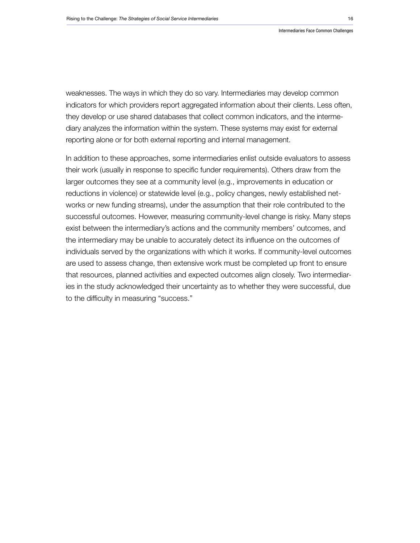weaknesses. The ways in which they do so vary. Intermediaries may develop common indicators for which providers report aggregated information about their clients. Less often, they develop or use shared databases that collect common indicators, and the intermediary analyzes the information within the system. These systems may exist for external reporting alone or for both external reporting and internal management.

In addition to these approaches, some intermediaries enlist outside evaluators to assess their work (usually in response to specific funder requirements). Others draw from the larger outcomes they see at a community level (e.g., improvements in education or reductions in violence) or statewide level (e.g., policy changes, newly established networks or new funding streams), under the assumption that their role contributed to the successful outcomes. However, measuring community-level change is risky. Many steps exist between the intermediary's actions and the community members' outcomes, and the intermediary may be unable to accurately detect its influence on the outcomes of individuals served by the organizations with which it works. If community-level outcomes are used to assess change, then extensive work must be completed up front to ensure that resources, planned activities and expected outcomes align closely. Two intermediaries in the study acknowledged their uncertainty as to whether they were successful, due to the difficulty in measuring "success."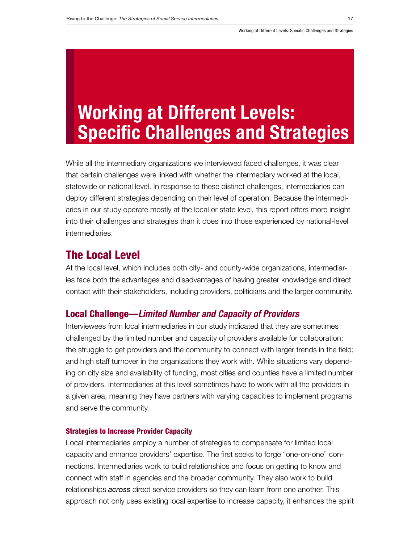# <span id="page-16-0"></span>Working at Different Levels: Specific Challenges and Strategies

While all the intermediary organizations we interviewed faced challenges, it was clear that certain challenges were linked with whether the intermediary worked at the local, statewide or national level. In response to these distinct challenges, intermediaries can deploy different strategies depending on their level of operation. Because the intermediaries in our study operate mostly at the local or state level, this report offers more insight into their challenges and strategies than it does into those experienced by national-level intermediaries.

### The Local Level

At the local level, which includes both city- and county-wide organizations, intermediaries face both the advantages and disadvantages of having greater knowledge and direct contact with their stakeholders, including providers, politicians and the larger community.

#### Local Challenge—*Limited Number and Capacity of Providers*

Interviewees from local intermediaries in our study indicated that they are sometimes challenged by the limited number and capacity of providers available for collaboration; the struggle to get providers and the community to connect with larger trends in the field; and high staff turnover in the organizations they work with. While situations vary depending on city size and availability of funding, most cities and counties have a limited number of providers. Intermediaries at this level sometimes have to work with all the providers in a given area, meaning they have partners with varying capacities to implement programs and serve the community.

#### Strategies to Increase Provider Capacity

Local intermediaries employ a number of strategies to compensate for limited local capacity and enhance providers' expertise. The first seeks to forge "one-on-one" connections. Intermediaries work to build relationships and focus on getting to know and connect with staff in agencies and the broader community. They also work to build relationships *across* direct service providers so they can learn from one another. This approach not only uses existing local expertise to increase capacity, it enhances the spirit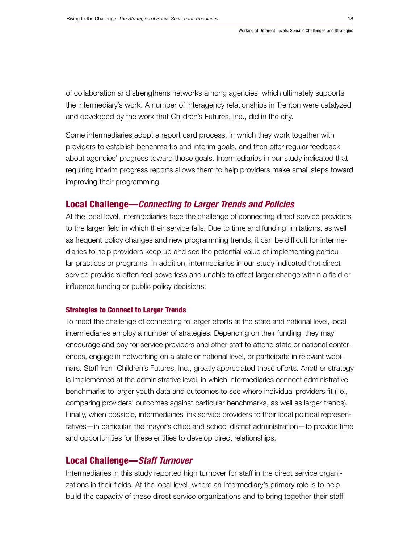of collaboration and strengthens networks among agencies, which ultimately supports the intermediary's work. A number of interagency relationships in Trenton were catalyzed and developed by the work that Children's Futures, Inc., did in the city.

Some intermediaries adopt a report card process, in which they work together with providers to establish benchmarks and interim goals, and then offer regular feedback about agencies' progress toward those goals. Intermediaries in our study indicated that requiring interim progress reports allows them to help providers make small steps toward improving their programming.

#### Local Challenge—*Connecting to Larger Trends and Policies*

At the local level, intermediaries face the challenge of connecting direct service providers to the larger field in which their service falls. Due to time and funding limitations, as well as frequent policy changes and new programming trends, it can be difficult for intermediaries to help providers keep up and see the potential value of implementing particular practices or programs. In addition, intermediaries in our study indicated that direct service providers often feel powerless and unable to effect larger change within a field or influence funding or public policy decisions.

#### Strategies to Connect to Larger Trends

To meet the challenge of connecting to larger efforts at the state and national level, local intermediaries employ a number of strategies. Depending on their funding, they may encourage and pay for service providers and other staff to attend state or national conferences, engage in networking on a state or national level, or participate in relevant webinars. Staff from Children's Futures, Inc., greatly appreciated these efforts. Another strategy is implemented at the administrative level, in which intermediaries connect administrative benchmarks to larger youth data and outcomes to see where individual providers fit (i.e., comparing providers' outcomes against particular benchmarks, as well as larger trends). Finally, when possible, intermediaries link service providers to their local political representatives—in particular, the mayor's office and school district administration—to provide time and opportunities for these entities to develop direct relationships.

#### Local Challenge—*Staff Turnover*

Intermediaries in this study reported high turnover for staff in the direct service organizations in their fields. At the local level, where an intermediary's primary role is to help build the capacity of these direct service organizations and to bring together their staff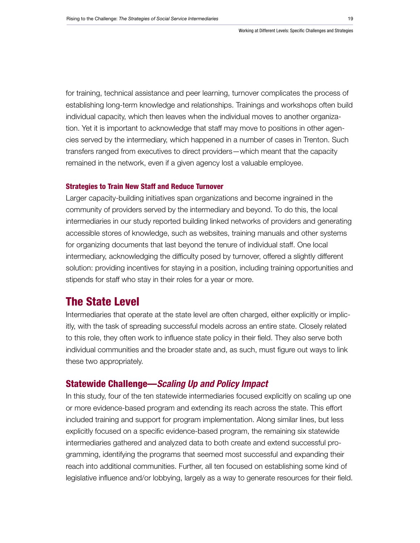for training, technical assistance and peer learning, turnover complicates the process of establishing long-term knowledge and relationships. Trainings and workshops often build individual capacity, which then leaves when the individual moves to another organization. Yet it is important to acknowledge that staff may move to positions in other agencies served by the intermediary, which happened in a number of cases in Trenton. Such transfers ranged from executives to direct providers—which meant that the capacity remained in the network, even if a given agency lost a valuable employee.

#### Strategies to Train New Staff and Reduce Turnover

Larger capacity-building initiatives span organizations and become ingrained in the community of providers served by the intermediary and beyond. To do this, the local intermediaries in our study reported building linked networks of providers and generating accessible stores of knowledge, such as websites, training manuals and other systems for organizing documents that last beyond the tenure of individual staff. One local intermediary, acknowledging the difficulty posed by turnover, offered a slightly different solution: providing incentives for staying in a position, including training opportunities and stipends for staff who stay in their roles for a year or more.

## The State Level

Intermediaries that operate at the state level are often charged, either explicitly or implicitly, with the task of spreading successful models across an entire state. Closely related to this role, they often work to influence state policy in their field. They also serve both individual communities and the broader state and, as such, must figure out ways to link these two appropriately.

#### Statewide Challenge—*Scaling Up and Policy Impact*

In this study, four of the ten statewide intermediaries focused explicitly on scaling up one or more evidence-based program and extending its reach across the state. This effort included training and support for program implementation. Along similar lines, but less explicitly focused on a specific evidence-based program, the remaining six statewide intermediaries gathered and analyzed data to both create and extend successful programming, identifying the programs that seemed most successful and expanding their reach into additional communities. Further, all ten focused on establishing some kind of legislative influence and/or lobbying, largely as a way to generate resources for their field.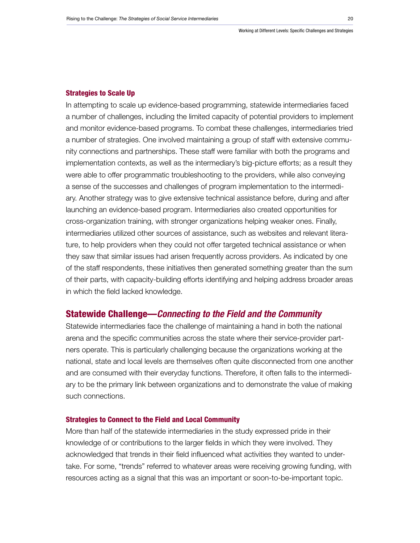#### Strategies to Scale Up

In attempting to scale up evidence-based programming, statewide intermediaries faced a number of challenges, including the limited capacity of potential providers to implement and monitor evidence-based programs. To combat these challenges, intermediaries tried a number of strategies. One involved maintaining a group of staff with extensive community connections and partnerships. These staff were familiar with both the programs and implementation contexts, as well as the intermediary's big-picture efforts; as a result they were able to offer programmatic troubleshooting to the providers, while also conveying a sense of the successes and challenges of program implementation to the intermediary. Another strategy was to give extensive technical assistance before, during and after launching an evidence-based program. Intermediaries also created opportunities for cross-organization training, with stronger organizations helping weaker ones. Finally, intermediaries utilized other sources of assistance, such as websites and relevant literature, to help providers when they could not offer targeted technical assistance or when they saw that similar issues had arisen frequently across providers. As indicated by one of the staff respondents, these initiatives then generated something greater than the sum of their parts, with capacity-building efforts identifying and helping address broader areas in which the field lacked knowledge.

#### Statewide Challenge—*Connecting to the Field and the Community*

Statewide intermediaries face the challenge of maintaining a hand in both the national arena and the specific communities across the state where their service-provider partners operate. This is particularly challenging because the organizations working at the national, state and local levels are themselves often quite disconnected from one another and are consumed with their everyday functions. Therefore, it often falls to the intermediary to be the primary link between organizations and to demonstrate the value of making such connections.

#### Strategies to Connect to the Field and Local Community

More than half of the statewide intermediaries in the study expressed pride in their knowledge of or contributions to the larger fields in which they were involved. They acknowledged that trends in their field influenced what activities they wanted to undertake. For some, "trends" referred to whatever areas were receiving growing funding, with resources acting as a signal that this was an important or soon-to-be-important topic.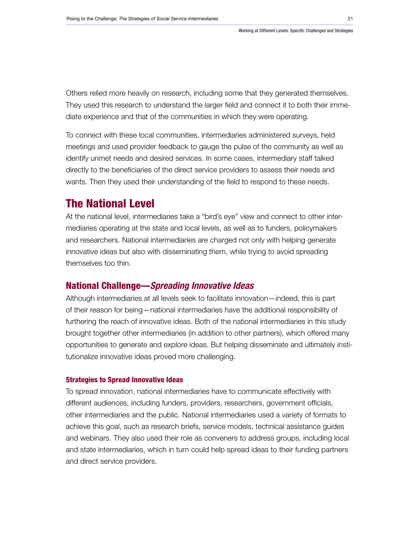Others relied more heavily on research, including some that they generated themselves. They used this research to understand the larger field and connect it to both their immediate experience and that of the communities in which they were operating.

To connect with these local communities, intermediaries administered surveys, held meetings and used provider feedback to gauge the pulse of the community as well as identify unmet needs and desired services. In some cases, intermediary staff talked directly to the beneficiaries of the direct service providers to assess their needs and wants. Then they used their understanding of the field to respond to these needs.

## The National Level

At the national level, intermediaries take a "bird's eye" view and connect to other intermediaries operating at the state and local levels, as well as to funders, policymakers and researchers. National intermediaries are charged not only with helping generate innovative ideas but also with disseminating them, while trying to avoid spreading themselves too thin.

### National Challenge—*Spreading Innovative Ideas*

Although intermediaries at all levels seek to facilitate innovation—indeed, this is part of their reason for being—national intermediaries have the additional responsibility of furthering the reach of innovative ideas. Both of the national intermediaries in this study brought together other intermediaries (in addition to other partners), which offered many opportunities to generate and explore ideas. But helping disseminate and ultimately institutionalize innovative ideas proved more challenging.

#### Strategies to Spread Innovative Ideas

To spread innovation, national intermediaries have to communicate effectively with different audiences, including funders, providers, researchers, government officials, other intermediaries and the public. National intermediaries used a variety of formats to achieve this goal, such as research briefs, service models, technical assistance guides and webinars. They also used their role as conveners to address groups, including local and state intermediaries, which in turn could help spread ideas to their funding partners and direct service providers.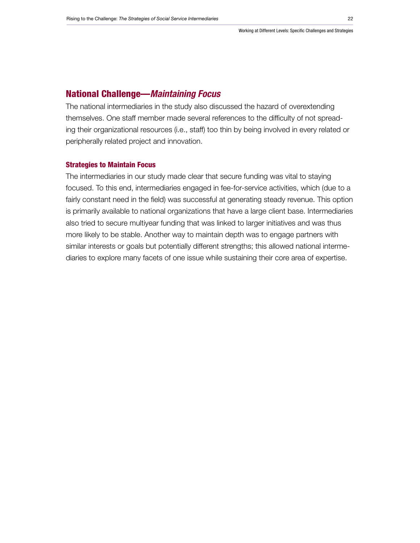#### National Challenge—*Maintaining Focus*

The national intermediaries in the study also discussed the hazard of overextending themselves. One staff member made several references to the difficulty of not spreading their organizational resources (i.e., staff) too thin by being involved in every related or peripherally related project and innovation.

#### Strategies to Maintain Focus

The intermediaries in our study made clear that secure funding was vital to staying focused. To this end, intermediaries engaged in fee-for-service activities, which (due to a fairly constant need in the field) was successful at generating steady revenue. This option is primarily available to national organizations that have a large client base. Intermediaries also tried to secure multiyear funding that was linked to larger initiatives and was thus more likely to be stable. Another way to maintain depth was to engage partners with similar interests or goals but potentially different strengths; this allowed national intermediaries to explore many facets of one issue while sustaining their core area of expertise.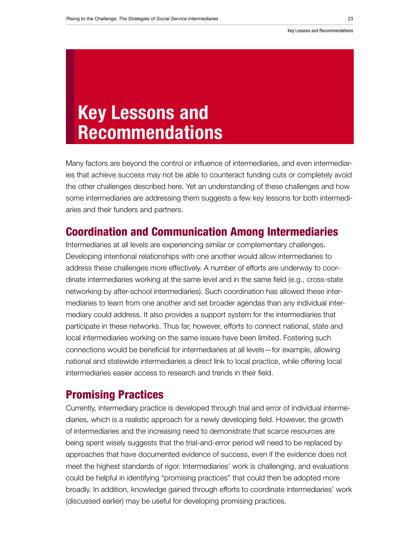# <span id="page-22-0"></span>Key Lessons and Recommendations

Many factors are beyond the control or influence of intermediaries, and even intermediaries that achieve success may not be able to counteract funding cuts or completely avoid the other challenges described here. Yet an understanding of these challenges and how some intermediaries are addressing them suggests a few key lessons for both intermediaries and their funders and partners.

## Coordination and Communication Among Intermediaries

Intermediaries at all levels are experiencing similar or complementary challenges. Developing intentional relationships with one another would allow intermediaries to address these challenges more effectively. A number of efforts are underway to coordinate intermediaries working at the same level and in the same field (e.g., cross-state networking by after-school intermediaries). Such coordination has allowed these intermediaries to learn from one another and set broader agendas than any individual intermediary could address. It also provides a support system for the intermediaries that participate in these networks. Thus far, however, efforts to connect national, state and local intermediaries working on the same issues have been limited. Fostering such connections would be beneficial for intermediaries at all levels—for example, allowing national and statewide intermediaries a direct link to local practice, while offering local intermediaries easier access to research and trends in their field.

## Promising Practices

Currently, intermediary practice is developed through trial and error of individual intermediaries, which is a realistic approach for a newly developing field. However, the growth of intermediaries and the increasing need to demonstrate that scarce resources are being spent wisely suggests that the trial-and-error period will need to be replaced by approaches that have documented evidence of success, even if the evidence does not meet the highest standards of rigor. Intermediaries' work is challenging, and evaluations could be helpful in identifying "promising practices" that could then be adopted more broadly. In addition, knowledge gained through efforts to coordinate intermediaries' work (discussed earlier) may be useful for developing promising practices.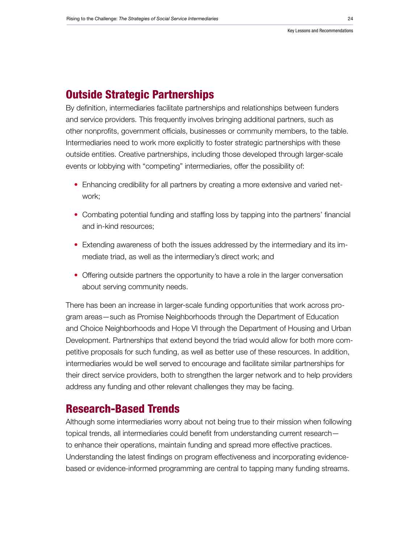## Outside Strategic Partnerships

By definition, intermediaries facilitate partnerships and relationships between funders and service providers. This frequently involves bringing additional partners, such as other nonprofits, government officials, businesses or community members, to the table. Intermediaries need to work more explicitly to foster strategic partnerships with these outside entities. Creative partnerships, including those developed through larger-scale events or lobbying with "competing" intermediaries, offer the possibility of:

- Enhancing credibility for all partners by creating a more extensive and varied network;
- Combating potential funding and staffing loss by tapping into the partners' financial and in-kind resources;
- Extending awareness of both the issues addressed by the intermediary and its immediate triad, as well as the intermediary's direct work; and
- Offering outside partners the opportunity to have a role in the larger conversation about serving community needs.

There has been an increase in larger-scale funding opportunities that work across program areas—such as Promise Neighborhoods through the Department of Education and Choice Neighborhoods and Hope VI through the Department of Housing and Urban Development. Partnerships that extend beyond the triad would allow for both more competitive proposals for such funding, as well as better use of these resources. In addition, intermediaries would be well served to encourage and facilitate similar partnerships for their direct service providers, both to strengthen the larger network and to help providers address any funding and other relevant challenges they may be facing.

## Research-Based Trends

Although some intermediaries worry about not being true to their mission when following topical trends, all intermediaries could benefit from understanding current research to enhance their operations, maintain funding and spread more effective practices. Understanding the latest findings on program effectiveness and incorporating evidencebased or evidence-informed programming are central to tapping many funding streams.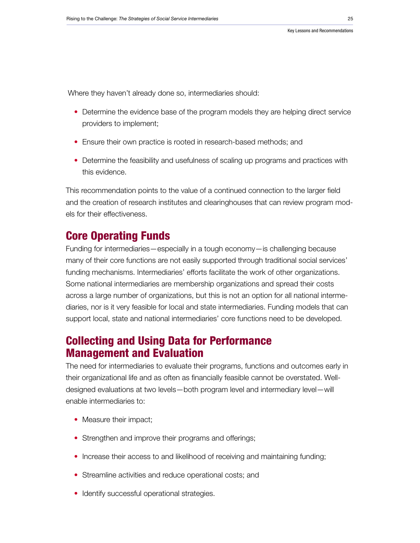Where they haven't already done so, intermediaries should:

- Determine the evidence base of the program models they are helping direct service providers to implement;
- Ensure their own practice is rooted in research-based methods; and
- Determine the feasibility and usefulness of scaling up programs and practices with this evidence.

This recommendation points to the value of a continued connection to the larger field and the creation of research institutes and clearinghouses that can review program models for their effectiveness.

## Core Operating Funds

Funding for intermediaries—especially in a tough economy—is challenging because many of their core functions are not easily supported through traditional social services' funding mechanisms. Intermediaries' efforts facilitate the work of other organizations. Some national intermediaries are membership organizations and spread their costs across a large number of organizations, but this is not an option for all national intermediaries, nor is it very feasible for local and state intermediaries. Funding models that can support local, state and national intermediaries' core functions need to be developed.

## Collecting and Using Data for Performance Management and Evaluation

The need for intermediaries to evaluate their programs, functions and outcomes early in their organizational life and as often as financially feasible cannot be overstated. Welldesigned evaluations at two levels—both program level and intermediary level—will enable intermediaries to:

- Measure their impact;
- Strengthen and improve their programs and offerings;
- Increase their access to and likelihood of receiving and maintaining funding;
- Streamline activities and reduce operational costs; and
- Identify successful operational strategies.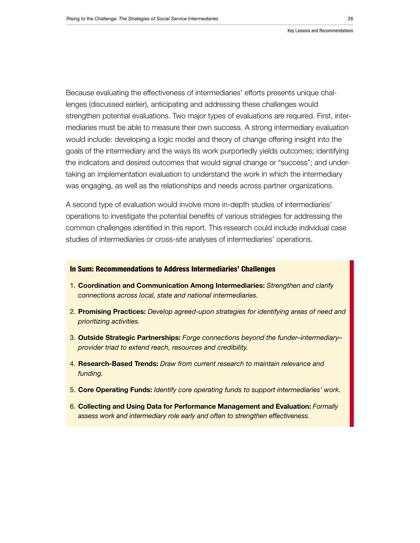Because evaluating the effectiveness of intermediaries' efforts presents unique challenges (discussed earlier), anticipating and addressing these challenges would strengthen potential evaluations. Two major types of evaluations are required. First, intermediaries must be able to measure their own success. A strong intermediary evaluation would include: developing a logic model and theory of change offering insight into the goals of the intermediary and the ways its work purportedly yields outcomes; identifying the indicators and desired outcomes that would signal change or "success"; and undertaking an implementation evaluation to understand the work in which the intermediary was engaging, as well as the relationships and needs across partner organizations.

A second type of evaluation would involve more in-depth studies of intermediaries' operations to investigate the potential benefits of various strategies for addressing the common challenges identified in this report. This research could include individual case studies of intermediaries or cross-site analyses of intermediaries' operations.

#### In Sum: Recommendations to Address Intermediaries' Challenges

- 1. Coordination and Communication Among Intermediaries: *Strengthen and clarify connections across local, state and national intermediaries.*
- 2. Promising Practices: *Develop agreed-upon strategies for identifying areas of need and prioritizing activities.*
- 3. Outside Strategic Partnerships: *Forge connections beyond the funder–intermediary– provider triad to extend reach, resources and credibility.*
- 4. Research-Based Trends: *Draw from current research to maintain relevance and funding.*
- 5. Core Operating Funds: *Identify core operating funds to support intermediaries' work.*
- 6. Collecting and Using Data for Performance Management and Evaluation: *Formally assess work and intermediary role early and often to strengthen effectiveness.*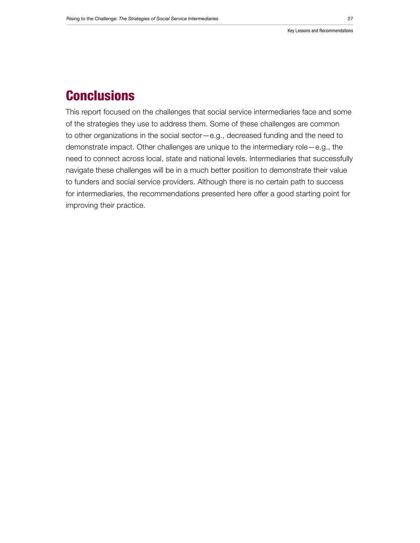## **Conclusions**

This report focused on the challenges that social service intermediaries face and some of the strategies they use to address them. Some of these challenges are common to other organizations in the social sector—e.g., decreased funding and the need to demonstrate impact. Other challenges are unique to the intermediary role—e.g., the need to connect across local, state and national levels. Intermediaries that successfully navigate these challenges will be in a much better position to demonstrate their value to funders and social service providers. Although there is no certain path to success for intermediaries, the recommendations presented here offer a good starting point for improving their practice.